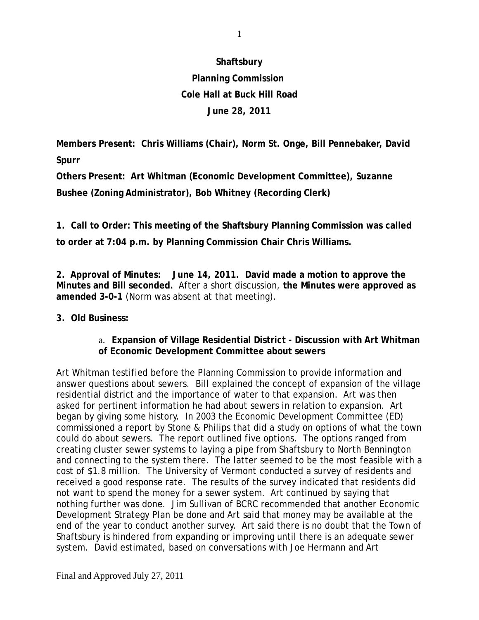## **Shaftsbury**

# **Planning Commission Cole Hall at Buck Hill Road June 28, 2011**

**Members Present: Chris Williams (Chair), Norm St. Onge, Bill Pennebaker, David Spurr**

**Others Present: Art Whitman (Economic Development Committee), Suzanne Bushee (Zoning Administrator), Bob Whitney (Recording Clerk)**

**1. Call to Order: This meeting of the Shaftsbury Planning Commission was called to order at 7:04 p.m. by Planning Commission Chair Chris Williams.**

**2. Approval of Minutes: June 14, 2011. David made a motion to approve the Minutes and Bill seconded.** After a short discussion, **the Minutes were approved as amended 3-0-1** (Norm was absent at that meeting).

## **3. Old Business:**

## a. **Expansion of Village Residential District - Discussion with Art Whitman of Economic Development Committee about sewers**

Art Whitman testified before the Planning Commission to provide information and answer questions about sewers. Bill explained the concept of expansion of the village residential district and the importance of water to that expansion. Art was then asked for pertinent information he had about sewers in relation to expansion. Art began by giving some history. In 2003 the Economic Development Committee (ED) commissioned a report by Stone & Philips that did a study on options of what the town could do about sewers. The report outlined five options. The options ranged from creating cluster sewer systems to laying a pipe from Shaftsbury to North Bennington and connecting to the system there. The latter seemed to be the most feasible with a cost of \$1.8 million. The University of Vermont conducted a survey of residents and received a good response rate. The results of the survey indicated that residents did not want to spend the money for a sewer system. Art continued by saying that nothing further was done. Jim Sullivan of BCRC recommended that another Economic Development Strategy Plan be done and Art said that money may be available at the end of the year to conduct another survey. Art said there is no doubt that the Town of Shaftsbury is hindered from expanding or improving until there is an adequate sewer system. David estimated, based on conversations with Joe Hermann and Art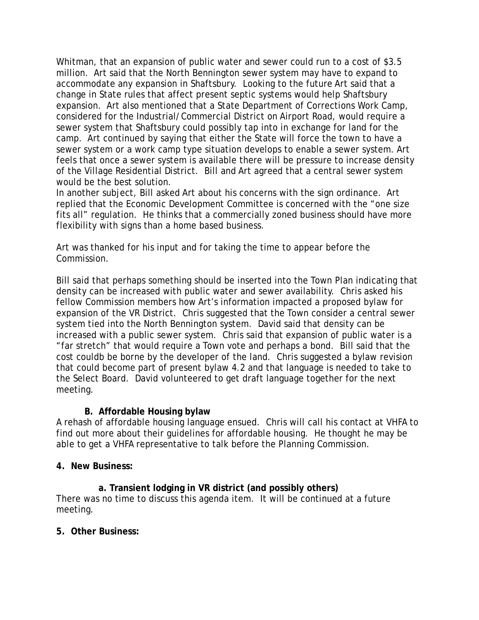Whitman, that an expansion of public water and sewer could run to a cost of \$3.5 million. Art said that the North Bennington sewer system may have to expand to accommodate any expansion in Shaftsbury. Looking to the future Art said that a change in State rules that affect present septic systems would help Shaftsbury expansion. Art also mentioned that a State Department of Corrections Work Camp, considered for the Industrial/Commercial District on Airport Road, would require a sewer system that Shaftsbury could possibly tap into in exchange for land for the camp. Art continued by saying that either the State will force the town to have a sewer system or a work camp type situation develops to enable a sewer system. Art feels that once a sewer system is available there will be pressure to increase density of the Village Residential District. Bill and Art agreed that a central sewer system would be the best solution.

In another subject, Bill asked Art about his concerns with the sign ordinance. Art replied that the Economic Development Committee is concerned with the "one size fits all" regulation. He thinks that a commercially zoned business should have more flexibility with signs than a home based business.

Art was thanked for his input and for taking the time to appear before the Commission.

Bill said that perhaps something should be inserted into the Town Plan indicating that density can be increased with public water and sewer availability. Chris asked his fellow Commission members how Art's information impacted a proposed bylaw for expansion of the VR District. Chris suggested that the Town consider a central sewer system tied into the North Bennington system. David said that density can be increased with a public sewer system. Chris said that expansion of public water is a "far stretch" that would require a Town vote and perhaps a bond. Bill said that the cost couldb be borne by the developer of the land. Chris suggested a bylaw revision that could become part of present bylaw 4.2 and that language is needed to take to the Select Board. David volunteered to get draft language together for the next meeting.

## **B. Affordable Housing bylaw**

A rehash of affordable housing language ensued. Chris will call his contact at VHFA to find out more about their guidelines for affordable housing. He thought he may be able to get a VHFA representative to talk before the Planning Commission.

## **4. New Business:**

**a. Transient lodging in VR district (and possibly others)** There was no time to discuss this agenda item. It will be continued at a future meeting.

## **5. Other Business:**